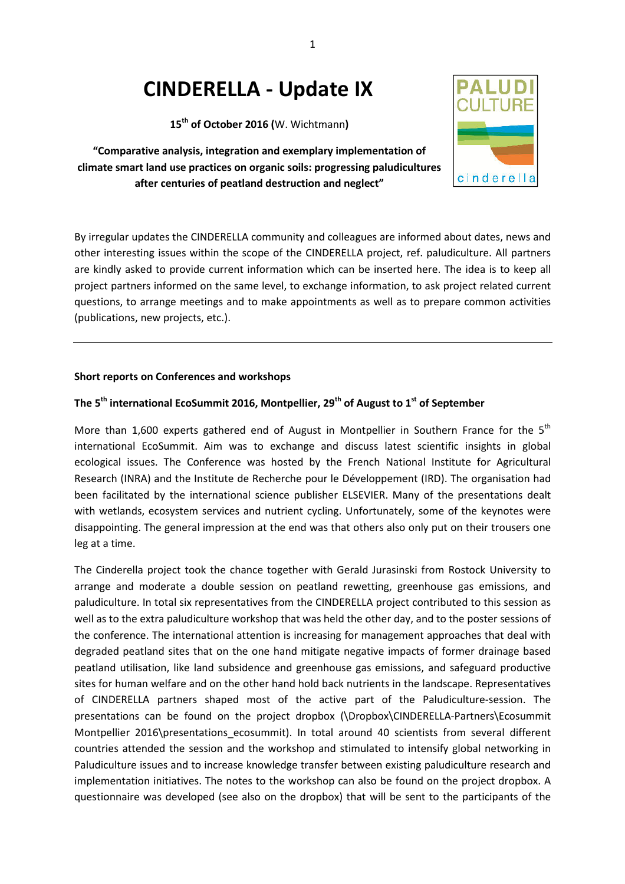# **CINDERELLA - Update IX**

**15th of October 2016 (**W. Wichtmann**)** 

**"Comparative analysis, integration and exemplary implementation of climate smart land use practices on organic soils: progressing paludicultures after centuries of peatland destruction and neglect"** 



#### **Short reports on Conferences and workshops**

#### **The 5th international EcoSummit 2016, Montpellier, 29th of August to 1st of September**

More than 1,600 experts gathered end of August in Montpellier in Southern France for the  $5<sup>th</sup>$ international EcoSummit. Aim was to exchange and discuss latest scientific insights in global ecological issues. The Conference was hosted by the French National Institute for Agricultural Research (INRA) and the Institute de Recherche pour le Développement (IRD). The organisation had been facilitated by the international science publisher ELSEVIER. Many of the presentations dealt with wetlands, ecosystem services and nutrient cycling. Unfortunately, some of the keynotes were disappointing. The general impression at the end was that others also only put on their trousers one leg at a time.

The Cinderella project took the chance together with Gerald Jurasinski from Rostock University to arrange and moderate a double session on peatland rewetting, greenhouse gas emissions, and paludiculture. In total six representatives from the CINDERELLA project contributed to this session as well as to the extra paludiculture workshop that was held the other day, and to the poster sessions of the conference. The international attention is increasing for management approaches that deal with degraded peatland sites that on the one hand mitigate negative impacts of former drainage based peatland utilisation, like land subsidence and greenhouse gas emissions, and safeguard productive sites for human welfare and on the other hand hold back nutrients in the landscape. Representatives of CINDERELLA partners shaped most of the active part of the Paludiculture-session. The presentations can be found on the project dropbox (\Dropbox\CINDERELLA-Partners\Ecosummit Montpellier 2016\presentations ecosummit). In total around 40 scientists from several different countries attended the session and the workshop and stimulated to intensify global networking in Paludiculture issues and to increase knowledge transfer between existing paludiculture research and implementation initiatives. The notes to the workshop can also be found on the project dropbox. A questionnaire was developed (see also on the dropbox) that will be sent to the participants of the

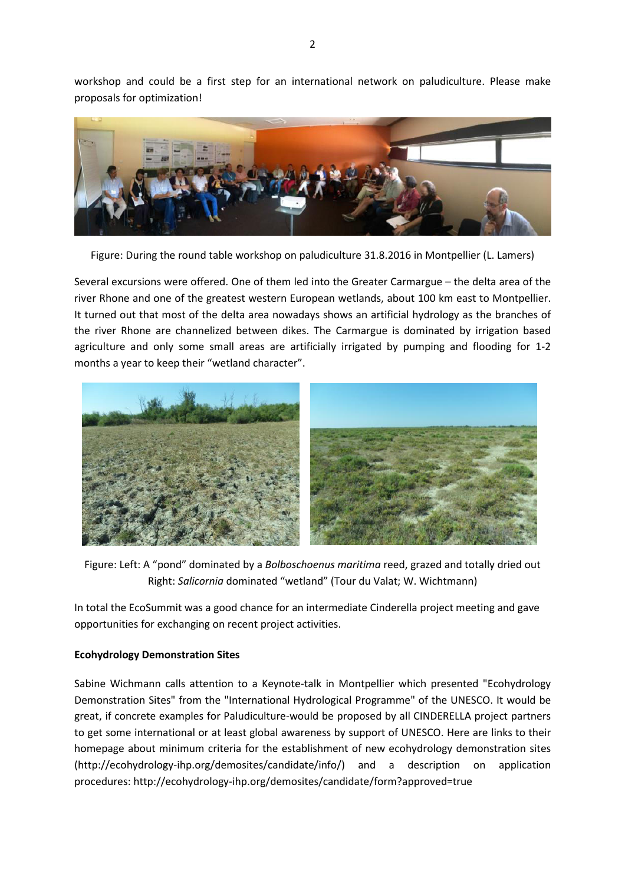workshop and could be a first step for an international network on paludiculture. Please make proposals for optimization!



Figure: During the round table workshop on paludiculture 31.8.2016 in Montpellier (L. Lamers)

Several excursions were offered. One of them led into the Greater Carmargue – the delta area of the river Rhone and one of the greatest western European wetlands, about 100 km east to Montpellier. It turned out that most of the delta area nowadays shows an artificial hydrology as the branches of the river Rhone are channelized between dikes. The Carmargue is dominated by irrigation based agriculture and only some small areas are artificially irrigated by pumping and flooding for 1-2 months a year to keep their "wetland character".



Figure: Left: A "pond" dominated by a *Bolboschoenus maritima* reed, grazed and totally dried out Right: *Salicornia* dominated "wetland" (Tour du Valat; W. Wichtmann)

In total the EcoSummit was a good chance for an intermediate Cinderella project meeting and gave opportunities for exchanging on recent project activities.

### **Ecohydrology Demonstration Sites**

Sabine Wichmann calls attention to a Keynote-talk in Montpellier which presented "Ecohydrology Demonstration Sites" from the "International Hydrological Programme" of the UNESCO. It would be great, if concrete examples for Paludiculture-would be proposed by all CINDERELLA project partners to get some international or at least global awareness by support of UNESCO. Here are links to their homepage about minimum criteria for the establishment of new ecohydrology demonstration sites (http://ecohydrology-ihp.org/demosites/candidate/info/) and a description on application procedures: http://ecohydrology-ihp.org/demosites/candidate/form?approved=true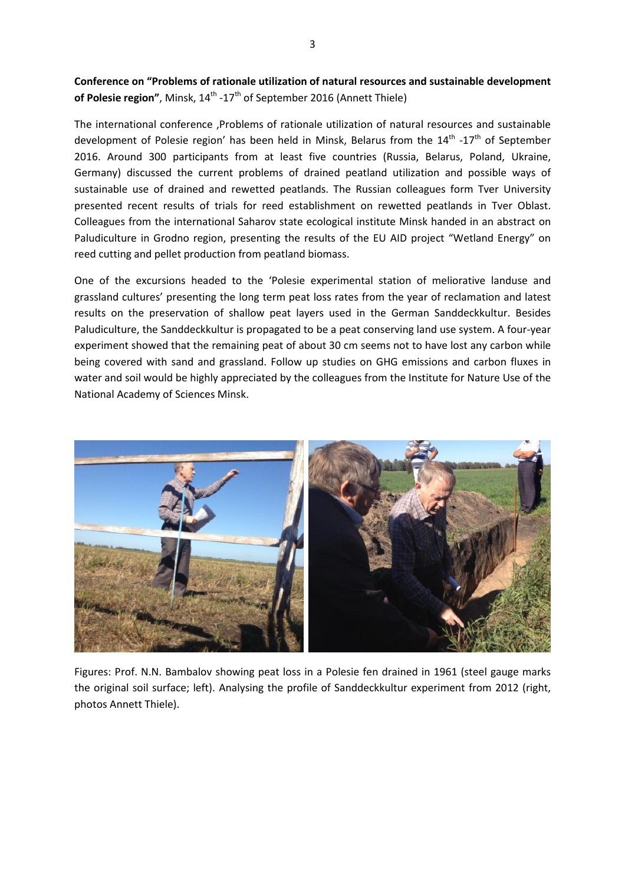## **Conference on "Problems of rationale utilization of natural resources and sustainable development of Polesie region"**, Minsk, 14<sup>th</sup> -17<sup>th</sup> of September 2016 (Annett Thiele)

The international conference 'Problems of rationale utilization of natural resources and sustainable development of Polesie region' has been held in Minsk, Belarus from the  $14^{\text{th}}$  -17<sup>th</sup> of September 2016. Around 300 participants from at least five countries (Russia, Belarus, Poland, Ukraine, Germany) discussed the current problems of drained peatland utilization and possible ways of sustainable use of drained and rewetted peatlands. The Russian colleagues form Tver University presented recent results of trials for reed establishment on rewetted peatlands in Tver Oblast. Colleagues from the international Saharov state ecological institute Minsk handed in an abstract on Paludiculture in Grodno region, presenting the results of the EU AID project "Wetland Energy" on reed cutting and pellet production from peatland biomass.

One of the excursions headed to the 'Polesie experimental station of meliorative landuse and grassland cultures' presenting the long term peat loss rates from the year of reclamation and latest results on the preservation of shallow peat layers used in the German Sanddeckkultur. Besides Paludiculture, the Sanddeckkultur is propagated to be a peat conserving land use system. A four-year experiment showed that the remaining peat of about 30 cm seems not to have lost any carbon while being covered with sand and grassland. Follow up studies on GHG emissions and carbon fluxes in water and soil would be highly appreciated by the colleagues from the Institute for Nature Use of the National Academy of Sciences Minsk.



Figures: Prof. N.N. Bambalov showing peat loss in a Polesie fen drained in 1961 (steel gauge marks the original soil surface; left). Analysing the profile of Sanddeckkultur experiment from 2012 (right, photos Annett Thiele).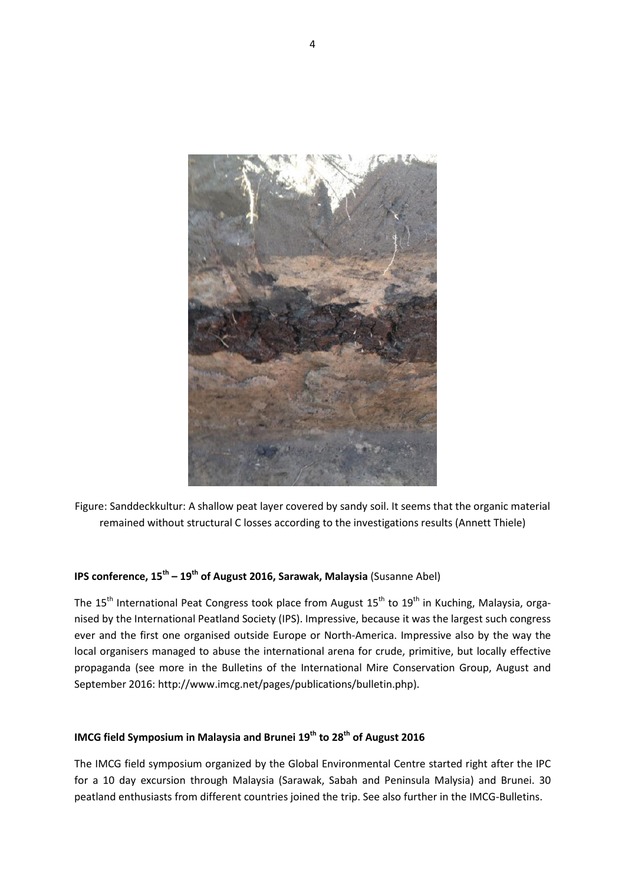

Figure: Sanddeckkultur: A shallow peat layer covered by sandy soil. It seems that the organic material remained without structural C losses according to the investigations results (Annett Thiele)

# **IPS conference, 15th – 19th of August 2016, Sarawak, Malaysia** (Susanne Abel)

The 15<sup>th</sup> International Peat Congress took place from August 15<sup>th</sup> to 19<sup>th</sup> in Kuching, Malaysia, organised by the International Peatland Society (IPS). Impressive, because it was the largest such congress ever and the first one organised outside Europe or North-America. Impressive also by the way the local organisers managed to abuse the international arena for crude, primitive, but locally effective propaganda (see more in the Bulletins of the International Mire Conservation Group, August and September 2016: http://www.imcg.net/pages/publications/bulletin.php).

# **IMCG field Symposium in Malaysia and Brunei 19th to 28th of August 2016**

The IMCG field symposium organized by the Global Environmental Centre started right after the IPC for a 10 day excursion through Malaysia (Sarawak, Sabah and Peninsula Malysia) and Brunei. 30 peatland enthusiasts from different countries joined the trip. See also further in the IMCG-Bulletins.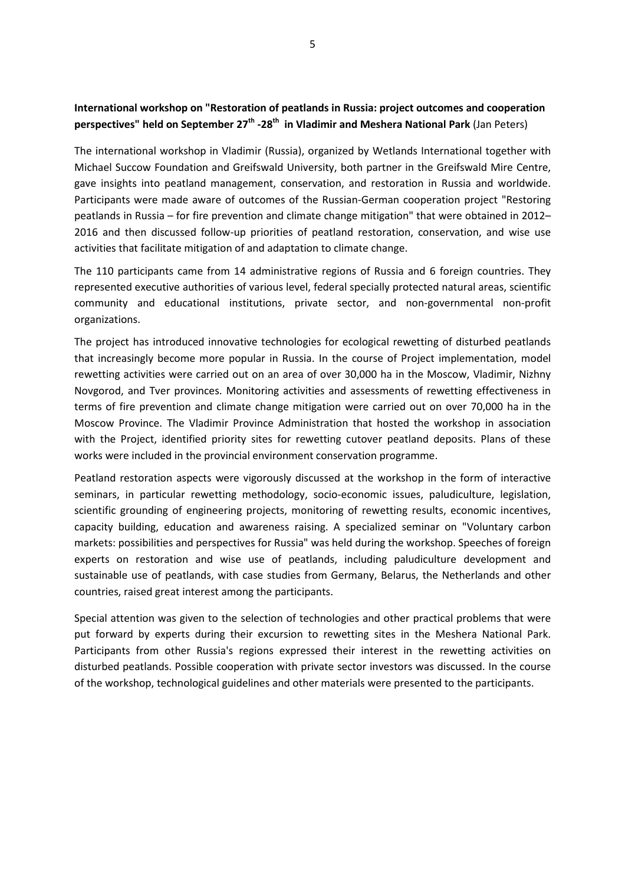## **International workshop on "Restoration of peatlands in Russia: project outcomes and cooperation perspectives" held on September 27th -28th in Vladimir and Meshera National Park** (Jan Peters)

The international workshop in Vladimir (Russia), organized by Wetlands International together with Michael Succow Foundation and Greifswald University, both partner in the Greifswald Mire Centre, gave insights into peatland management, conservation, and restoration in Russia and worldwide. Participants were made aware of outcomes of the Russian-German cooperation project "Restoring peatlands in Russia – for fire prevention and climate change mitigation" that were obtained in 2012– 2016 and then discussed follow-up priorities of peatland restoration, conservation, and wise use activities that facilitate mitigation of and adaptation to climate change.

The 110 participants came from 14 administrative regions of Russia and 6 foreign countries. They represented executive authorities of various level, federal specially protected natural areas, scientific community and educational institutions, private sector, and non-governmental non-profit organizations.

The project has introduced innovative technologies for ecological rewetting of disturbed peatlands that increasingly become more popular in Russia. In the course of Project implementation, model rewetting activities were carried out on an area of over 30,000 ha in the Moscow, Vladimir, Nizhny Novgorod, and Tver provinces. Monitoring activities and assessments of rewetting effectiveness in terms of fire prevention and climate change mitigation were carried out on over 70,000 ha in the Moscow Province. The Vladimir Province Administration that hosted the workshop in association with the Project, identified priority sites for rewetting cutover peatland deposits. Plans of these works were included in the provincial environment conservation programme.

Peatland restoration aspects were vigorously discussed at the workshop in the form of interactive seminars, in particular rewetting methodology, socio-economic issues, paludiculture, legislation, scientific grounding of engineering projects, monitoring of rewetting results, economic incentives, capacity building, education and awareness raising. A specialized seminar on "Voluntary carbon markets: possibilities and perspectives for Russia" was held during the workshop. Speeches of foreign experts on restoration and wise use of peatlands, including paludiculture development and sustainable use of peatlands, with case studies from Germany, Belarus, the Netherlands and other countries, raised great interest among the participants.

Special attention was given to the selection of technologies and other practical problems that were put forward by experts during their excursion to rewetting sites in the Meshera National Park. Participants from other Russia's regions expressed their interest in the rewetting activities on disturbed peatlands. Possible cooperation with private sector investors was discussed. In the course of the workshop, technological guidelines and other materials were presented to the participants.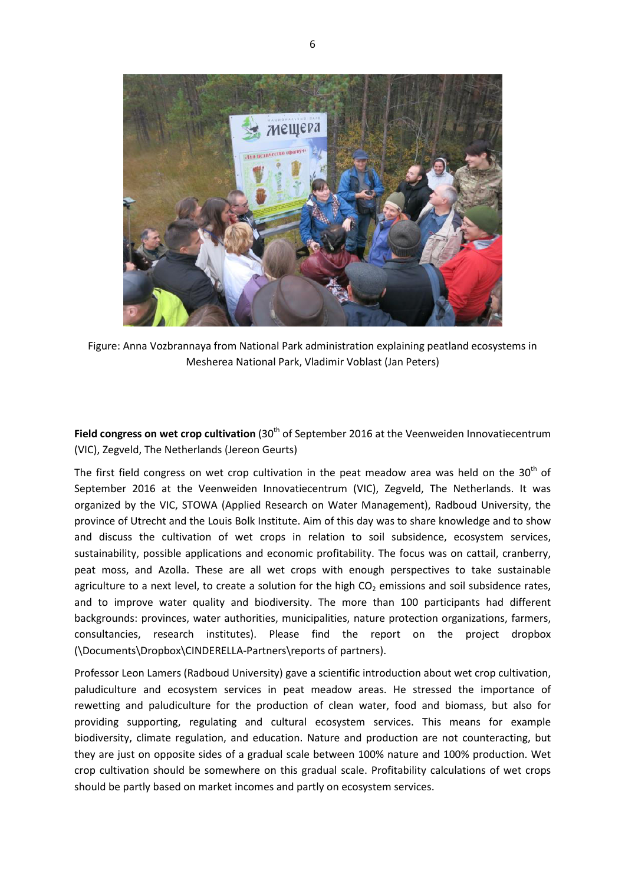

Figure: Anna Vozbrannaya from National Park administration explaining peatland ecosystems in Mesherea National Park, Vladimir Voblast (Jan Peters)

Field congress on wet crop cultivation (30<sup>th</sup> of September 2016 at the Veenweiden Innovatiecentrum (VIC), Zegveld, The Netherlands (Jereon Geurts)

The first field congress on wet crop cultivation in the peat meadow area was held on the  $30<sup>th</sup>$  of September 2016 at the Veenweiden Innovatiecentrum (VIC), Zegveld, The Netherlands. It was organized by the VIC, STOWA (Applied Research on Water Management), Radboud University, the province of Utrecht and the Louis Bolk Institute. Aim of this day was to share knowledge and to show and discuss the cultivation of wet crops in relation to soil subsidence, ecosystem services, sustainability, possible applications and economic profitability. The focus was on cattail, cranberry, peat moss, and Azolla. These are all wet crops with enough perspectives to take sustainable agriculture to a next level, to create a solution for the high  $CO<sub>2</sub>$  emissions and soil subsidence rates, and to improve water quality and biodiversity. The more than 100 participants had different backgrounds: provinces, water authorities, municipalities, nature protection organizations, farmers, consultancies, research institutes). Please find the report on the project dropbox (\Documents\Dropbox\CINDERELLA-Partners\reports of partners).

Professor Leon Lamers (Radboud University) gave a scientific introduction about wet crop cultivation, paludiculture and ecosystem services in peat meadow areas. He stressed the importance of rewetting and paludiculture for the production of clean water, food and biomass, but also for providing supporting, regulating and cultural ecosystem services. This means for example biodiversity, climate regulation, and education. Nature and production are not counteracting, but they are just on opposite sides of a gradual scale between 100% nature and 100% production. Wet crop cultivation should be somewhere on this gradual scale. Profitability calculations of wet crops should be partly based on market incomes and partly on ecosystem services.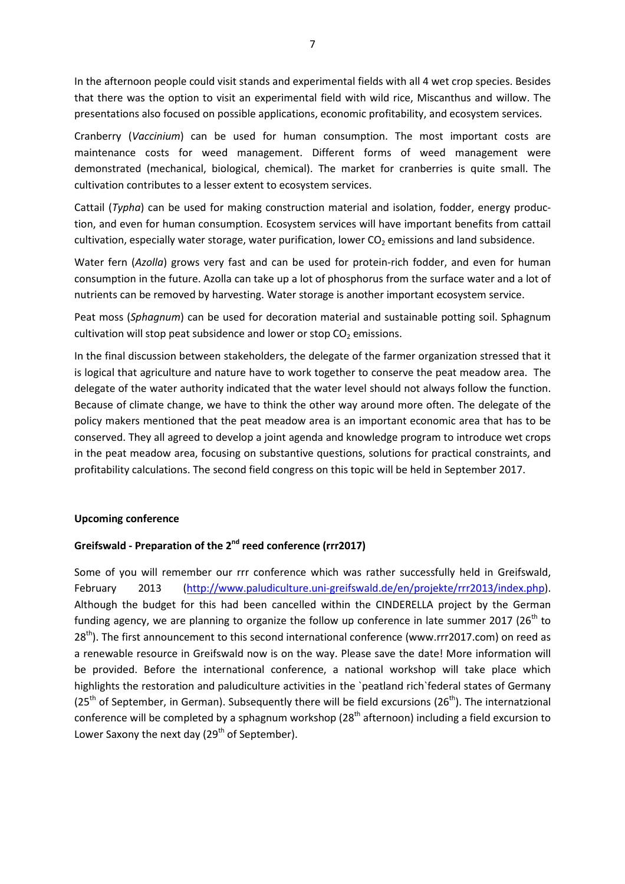In the afternoon people could visit stands and experimental fields with all 4 wet crop species. Besides that there was the option to visit an experimental field with wild rice, Miscanthus and willow. The presentations also focused on possible applications, economic profitability, and ecosystem services.

Cranberry (*Vaccinium*) can be used for human consumption. The most important costs are maintenance costs for weed management. Different forms of weed management were demonstrated (mechanical, biological, chemical). The market for cranberries is quite small. The cultivation contributes to a lesser extent to ecosystem services.

Cattail (*Typha*) can be used for making construction material and isolation, fodder, energy production, and even for human consumption. Ecosystem services will have important benefits from cattail cultivation, especially water storage, water purification, lower  $CO<sub>2</sub>$  emissions and land subsidence.

Water fern (*Azolla*) grows very fast and can be used for protein-rich fodder, and even for human consumption in the future. Azolla can take up a lot of phosphorus from the surface water and a lot of nutrients can be removed by harvesting. Water storage is another important ecosystem service.

Peat moss (*Sphagnum*) can be used for decoration material and sustainable potting soil. Sphagnum cultivation will stop peat subsidence and lower or stop  $CO<sub>2</sub>$  emissions.

In the final discussion between stakeholders, the delegate of the farmer organization stressed that it is logical that agriculture and nature have to work together to conserve the peat meadow area. The delegate of the water authority indicated that the water level should not always follow the function. Because of climate change, we have to think the other way around more often. The delegate of the policy makers mentioned that the peat meadow area is an important economic area that has to be conserved. They all agreed to develop a joint agenda and knowledge program to introduce wet crops in the peat meadow area, focusing on substantive questions, solutions for practical constraints, and profitability calculations. The second field congress on this topic will be held in September 2017.

#### **Upcoming conference**

#### **Greifswald - Preparation of the 2nd reed conference (rrr2017)**

Some of you will remember our rrr conference which was rather successfully held in Greifswald, February 2013 (http://www.paludiculture.uni-greifswald.de/en/projekte/rrr2013/index.php). Although the budget for this had been cancelled within the CINDERELLA project by the German funding agency, we are planning to organize the follow up conference in late summer 2017 (26<sup>th</sup> to 28<sup>th</sup>). The first announcement to this second international conference (www.rrr2017.com) on reed as a renewable resource in Greifswald now is on the way. Please save the date! More information will be provided. Before the international conference, a national workshop will take place which highlights the restoration and paludiculture activities in the `peatland rich`federal states of Germany  $(25<sup>th</sup>$  of September, in German). Subsequently there will be field excursions ( $26<sup>th</sup>$ ). The internatzional conference will be completed by a sphagnum workshop (28<sup>th</sup> afternoon) including a field excursion to Lower Saxony the next day ( $29<sup>th</sup>$  of September).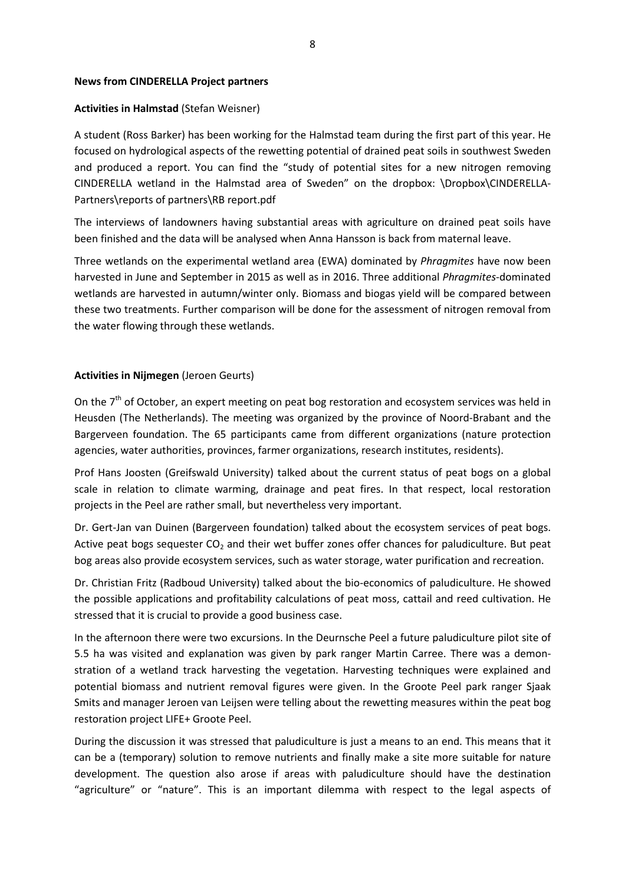#### **News from CINDERELLA Project partners**

#### **Activities in Halmstad** (Stefan Weisner)

A student (Ross Barker) has been working for the Halmstad team during the first part of this year. He focused on hydrological aspects of the rewetting potential of drained peat soils in southwest Sweden and produced a report. You can find the "study of potential sites for a new nitrogen removing CINDERELLA wetland in the Halmstad area of Sweden" on the dropbox: \Dropbox\CINDERELLA-Partners\reports of partners\RB report.pdf

The interviews of landowners having substantial areas with agriculture on drained peat soils have been finished and the data will be analysed when Anna Hansson is back from maternal leave.

Three wetlands on the experimental wetland area (EWA) dominated by *Phragmites* have now been harvested in June and September in 2015 as well as in 2016. Three additional *Phragmites*-dominated wetlands are harvested in autumn/winter only. Biomass and biogas yield will be compared between these two treatments. Further comparison will be done for the assessment of nitrogen removal from the water flowing through these wetlands.

#### **Activities in Nijmegen** (Jeroen Geurts)

On the  $7<sup>th</sup>$  of October, an expert meeting on peat bog restoration and ecosystem services was held in Heusden (The Netherlands). The meeting was organized by the province of Noord-Brabant and the Bargerveen foundation. The 65 participants came from different organizations (nature protection agencies, water authorities, provinces, farmer organizations, research institutes, residents).

Prof Hans Joosten (Greifswald University) talked about the current status of peat bogs on a global scale in relation to climate warming, drainage and peat fires. In that respect, local restoration projects in the Peel are rather small, but nevertheless very important.

Dr. Gert-Jan van Duinen (Bargerveen foundation) talked about the ecosystem services of peat bogs. Active peat bogs sequester  $CO<sub>2</sub>$  and their wet buffer zones offer chances for paludiculture. But peat bog areas also provide ecosystem services, such as water storage, water purification and recreation.

Dr. Christian Fritz (Radboud University) talked about the bio-economics of paludiculture. He showed the possible applications and profitability calculations of peat moss, cattail and reed cultivation. He stressed that it is crucial to provide a good business case.

In the afternoon there were two excursions. In the Deurnsche Peel a future paludiculture pilot site of 5.5 ha was visited and explanation was given by park ranger Martin Carree. There was a demonstration of a wetland track harvesting the vegetation. Harvesting techniques were explained and potential biomass and nutrient removal figures were given. In the Groote Peel park ranger Sjaak Smits and manager Jeroen van Leijsen were telling about the rewetting measures within the peat bog restoration project LIFE+ Groote Peel.

During the discussion it was stressed that paludiculture is just a means to an end. This means that it can be a (temporary) solution to remove nutrients and finally make a site more suitable for nature development. The question also arose if areas with paludiculture should have the destination "agriculture" or "nature". This is an important dilemma with respect to the legal aspects of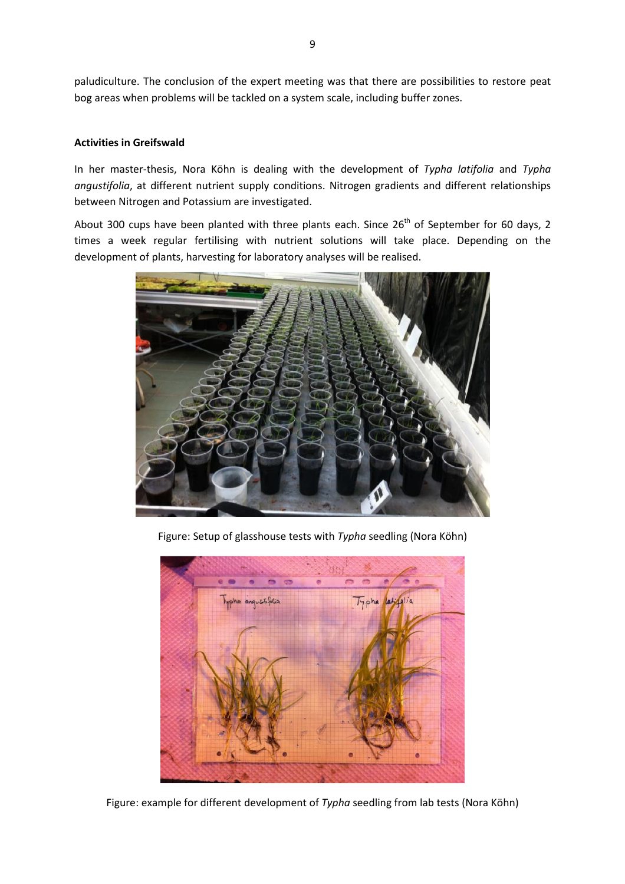paludiculture. The conclusion of the expert meeting was that there are possibilities to restore peat bog areas when problems will be tackled on a system scale, including buffer zones.

#### **Activities in Greifswald**

In her master-thesis, Nora Köhn is dealing with the development of *Typha latifolia* and *Typha angustifolia*, at different nutrient supply conditions. Nitrogen gradients and different relationships between Nitrogen and Potassium are investigated.

About 300 cups have been planted with three plants each. Since 26<sup>th</sup> of September for 60 days, 2 times a week regular fertilising with nutrient solutions will take place. Depending on the development of plants, harvesting for laboratory analyses will be realised.



Figure: Setup of glasshouse tests with *Typha* seedling (Nora Köhn)



Figure: example for different development of *Typha* seedling from lab tests (Nora Köhn)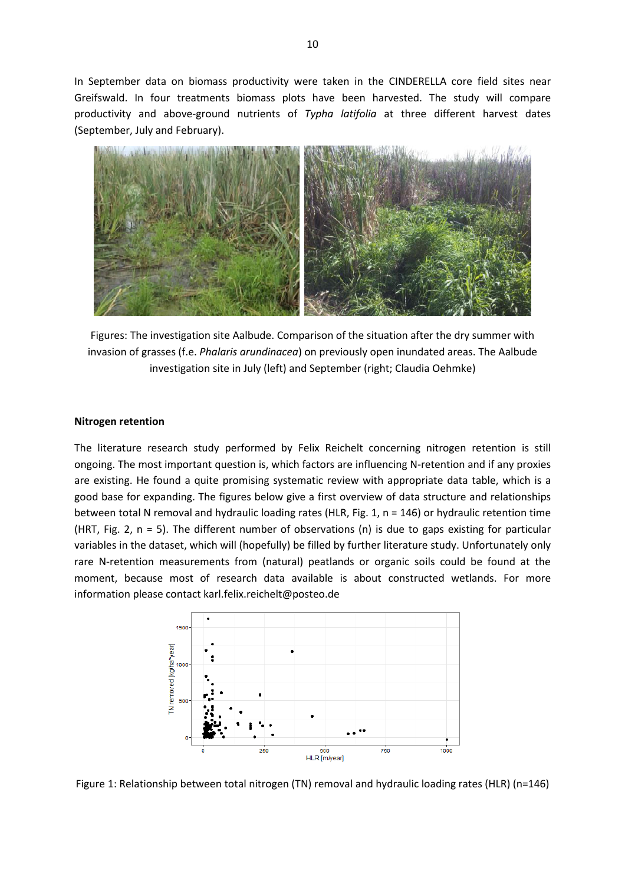In September data on biomass productivity were taken in the CINDERELLA core field sites near Greifswald. In four treatments biomass plots have been harvested. The study will compare productivity and above-ground nutrients of *Typha latifolia* at three different harvest dates (September, July and February).



Figures: The investigation site Aalbude. Comparison of the situation after the dry summer with invasion of grasses (f.e. *Phalaris arundinacea*) on previously open inundated areas. The Aalbude investigation site in July (left) and September (right; Claudia Oehmke)

#### **Nitrogen retention**

The literature research study performed by Felix Reichelt concerning nitrogen retention is still ongoing. The most important question is, which factors are influencing N-retention and if any proxies are existing. He found a quite promising systematic review with appropriate data table, which is a good base for expanding. The figures below give a first overview of data structure and relationships between total N removal and hydraulic loading rates (HLR, Fig. 1, n = 146) or hydraulic retention time (HRT, Fig. 2,  $n = 5$ ). The different number of observations (n) is due to gaps existing for particular variables in the dataset, which will (hopefully) be filled by further literature study. Unfortunately only rare N-retention measurements from (natural) peatlands or organic soils could be found at the moment, because most of research data available is about constructed wetlands. For more information please contact karl.felix.reichelt@posteo.de



Figure 1: Relationship between total nitrogen (TN) removal and hydraulic loading rates (HLR) (n=146)